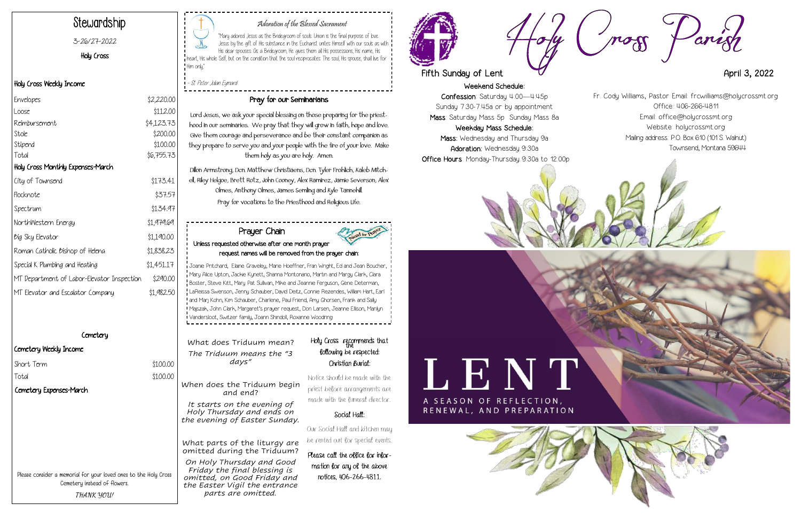Weekend Schedule: Confession: Saturday 4:00—4:45p Sunday 7:30-7:45a or by appointment Mass: Saturday Mass 5p Sunday Mass 8a Weekday Mass Schedule:

Mass: Wednesday and Thursday 9a Adoration: Wednesday 9:30a Office Hours: Monday-Thursday 9:30a to 12:00p









#### Adoration of the Blessed Sacrament

| Envelopes                                  | \$2,220.00 |
|--------------------------------------------|------------|
| Loose                                      | \$112.00   |
| Reimbursement                              | \$4,123.73 |
| Stole                                      | \$200.00   |
| Stipend                                    | \$100.00   |
| Total                                      | \$6,755.73 |
| Holy Cross Monthly Expenses-March          |            |
| City of Townsend                           | \$173.41   |
| Flocknote                                  | \$37.57    |
| Spectrum                                   | \$134.97   |
| NorthWestern Energy                        | \$1,979.69 |
| <i>big</i> Sky Elevator                    | \$1,190.00 |
| Roman Catholic Bishop of Helena            | \$1,838.23 |
| Special K Plumbing and Heating             | \$1,451.17 |
| MT Department of Labor-Elevator Inspection | \$290.00   |
| MT Elevator and Escalator Company          | \$1,982.50 |

#### **Cemetery**

 $$100.00$ 

"Mary adored Jesus as the Bridegroom of souls. Union is the final purpose of love. Jesus by the gift of His substance in the Eucharist unites Himself with our souls as with His dear spouses. As a Bridegroom, He gives them all His possessions, His name, His heart, His whole Self, but on the condition that the soul reciprocates. The soul, His spouse, shall live for Him only,"

- St. Peter Julian Eymard

## Stewardship

#### 3-26/27-2022

Holy Cross

#### Holy Cross Weekly Income

#### Cemetery Weekly Income

| Short Term |  |
|------------|--|
|            |  |

Total \$100.00

#### Pray for our Seminarians

### Holy Cross recommends that following be respected: Christian Burial:

Lord Jesus, we ask your special blessing on those preparing for the priesthood in our seminaries. We pray that they will grow in faith, hope and love. Give them courage and perseverance and be their constant companion as they prepare to serve you and your people with the fire of your love. Make them holy as you are holy. Amen.

Dillon Armstrong, Dcn. Matthew Christiaens, Dcn. Tyler Frohlich, Kaleb Mitchell, Riley Helgoe, Brett Rotz, John Cooney, Alex Ramirez, Jamie Severson, Alex Olmes, Anthony Olmes, James Semling and Kyle Tannehill. Pray for vocations to the Priesthood and Religious Life.

Please consider a memorial for your loved ones to the Holy Cross Cemetery instead of flowers. **THANK YOU!**

What does Triduum mean? *The Triduum means the "3 days"*

When does the Triduum begin and end?

*It starts on the evening of Holy Thursday and ends on the evening of Easter Sunday.*

What parts of the liturgy are omitted during the Triduum?

*On Holy Thursday and Good Friday the final blessing is omitted, on Good Friday and the Easter Vigil the entrance parts are omitted.*

Notice should be made with the priest before arrangements are made with the funeral director.

#### Social Hall:

Our Social Hall and kitchen may be rented out for special events.

Please call the office for information for any of the above notices, 406-266-4811.





# Fifth Sunday of Lent  $\overline{A}$

#### Prayer Chain Unless requested otherwise after one month prayer request names will be removed from the prayer chain:

Joanie Pritchard, Elaine Graveley, Marie Hoeffner, Fran Wright, Ed and Jean Boucher, Mary Alice Upton, Jackie Kynett, Shanna Montonario, Martin and Margy Clark, Clara Boster, Steve Kitt, Mary Pat Sullivan, Mike and Jeannie Ferguson, Gene Determan, LaReissa Swenson, Jenny Schauber, David Deitz, Connie Rezendes, William Hart, Earl and Marj Kohn, Kim Schauber, Charlene, Paul Friend, Amy Ghorsen, Frank and Sally Majszak, John Clark, Margaret's prayer request, Don Larsen, Jeanne Ellison, Marilyn Vandersloot, Switzer family, Joann Shindoll, Roxanne Woodring

Fr. Cody Williams, Pastor Email: frcwilliams@holycrossmt.org Office: 406-266-4811 Email: office@holycrossmt.org Website: holycrossmt.org Mailing address: P.O. Box 610 (101 S. Walnut) Townsend, Montana 59644

Cemetery Expenses-March